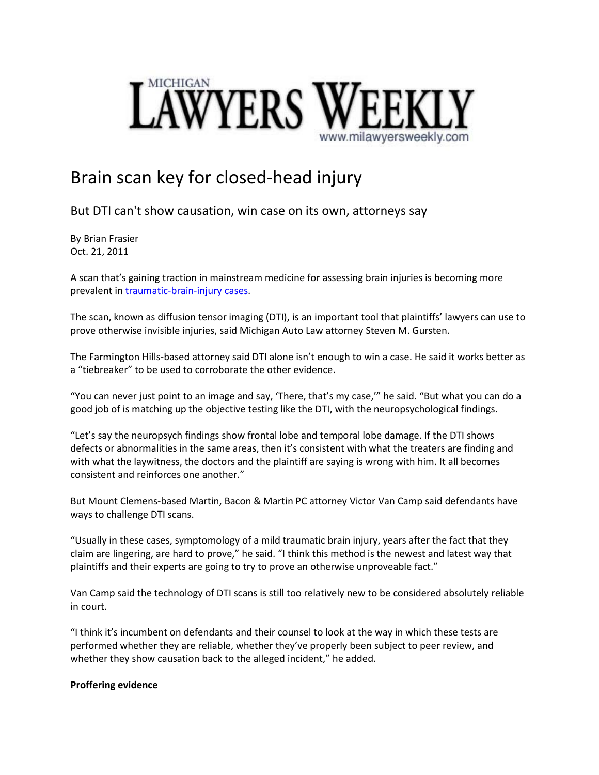

## Brain scan key for closed-head injury

But DTI can't show causation, win case on its own, attorneys say

By Brian Frasier Oct. 21, 2011

A scan that's gaining traction in mainstream medicine for assessing brain injuries is becoming more prevalent in [traumatic-brain-injury cases.](http://www.michiganautolaw.com/michiganlawyers/tbi-lawyer/index.php)

The scan, known as diffusion tensor imaging (DTI), is an important tool that plaintiffs' lawyers can use to prove otherwise invisible injuries, said Michigan Auto Law attorney Steven M. Gursten.

The Farmington Hills-based attorney said DTI alone isn't enough to win a case. He said it works better as a "tiebreaker" to be used to corroborate the other evidence.

"You can never just point to an image and say, 'There, that's my case,'" he said. "But what you can do a good job of is matching up the objective testing like the DTI, with the neuropsychological findings.

"Let's say the neuropsych findings show frontal lobe and temporal lobe damage. If the DTI shows defects or abnormalities in the same areas, then it's consistent with what the treaters are finding and with what the laywitness, the doctors and the plaintiff are saying is wrong with him. It all becomes consistent and reinforces one another."

But Mount Clemens-based Martin, Bacon & Martin PC attorney Victor Van Camp said defendants have ways to challenge DTI scans.

"Usually in these cases, symptomology of a mild traumatic brain injury, years after the fact that they claim are lingering, are hard to prove," he said. "I think this method is the newest and latest way that plaintiffs and their experts are going to try to prove an otherwise unproveable fact."

Van Camp said the technology of DTI scans is still too relatively new to be considered absolutely reliable in court.

"I think it's incumbent on defendants and their counsel to look at the way in which these tests are performed whether they are reliable, whether they've properly been subject to peer review, and whether they show causation back to the alleged incident," he added.

## **Proffering evidence**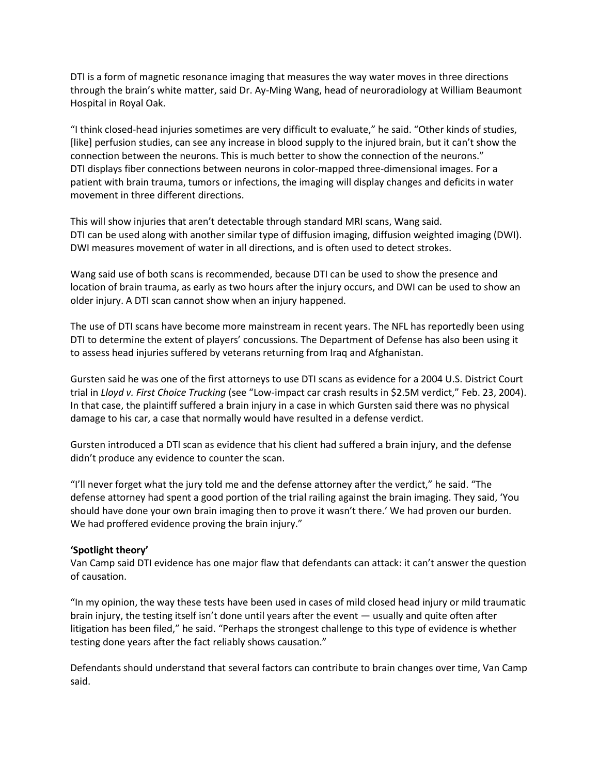DTI is a form of magnetic resonance imaging that measures the way water moves in three directions through the brain's white matter, said Dr. Ay-Ming Wang, head of neuroradiology at William Beaumont Hospital in Royal Oak.

"I think closed-head injuries sometimes are very difficult to evaluate," he said. "Other kinds of studies, [like] perfusion studies, can see any increase in blood supply to the injured brain, but it can't show the connection between the neurons. This is much better to show the connection of the neurons." DTI displays fiber connections between neurons in color-mapped three-dimensional images. For a patient with brain trauma, tumors or infections, the imaging will display changes and deficits in water movement in three different directions.

This will show injuries that aren't detectable through standard MRI scans, Wang said. DTI can be used along with another similar type of diffusion imaging, diffusion weighted imaging (DWI). DWI measures movement of water in all directions, and is often used to detect strokes.

Wang said use of both scans is recommended, because DTI can be used to show the presence and location of brain trauma, as early as two hours after the injury occurs, and DWI can be used to show an older injury. A DTI scan cannot show when an injury happened.

The use of DTI scans have become more mainstream in recent years. The NFL has reportedly been using DTI to determine the extent of players' concussions. The Department of Defense has also been using it to assess head injuries suffered by veterans returning from Iraq and Afghanistan.

Gursten said he was one of the first attorneys to use DTI scans as evidence for a 2004 U.S. District Court trial in *Lloyd v. First Choice Trucking* (see "Low-impact car crash results in \$2.5M verdict," Feb. 23, 2004). In that case, the plaintiff suffered a brain injury in a case in which Gursten said there was no physical damage to his car, a case that normally would have resulted in a defense verdict.

Gursten introduced a DTI scan as evidence that his client had suffered a brain injury, and the defense didn't produce any evidence to counter the scan.

"I'll never forget what the jury told me and the defense attorney after the verdict," he said. "The defense attorney had spent a good portion of the trial railing against the brain imaging. They said, 'You should have done your own brain imaging then to prove it wasn't there.' We had proven our burden. We had proffered evidence proving the brain injury."

## **'Spotlight theory'**

Van Camp said DTI evidence has one major flaw that defendants can attack: it can't answer the question of causation.

"In my opinion, the way these tests have been used in cases of mild closed head injury or mild traumatic brain injury, the testing itself isn't done until years after the event — usually and quite often after litigation has been filed," he said. "Perhaps the strongest challenge to this type of evidence is whether testing done years after the fact reliably shows causation."

Defendants should understand that several factors can contribute to brain changes over time, Van Camp said.